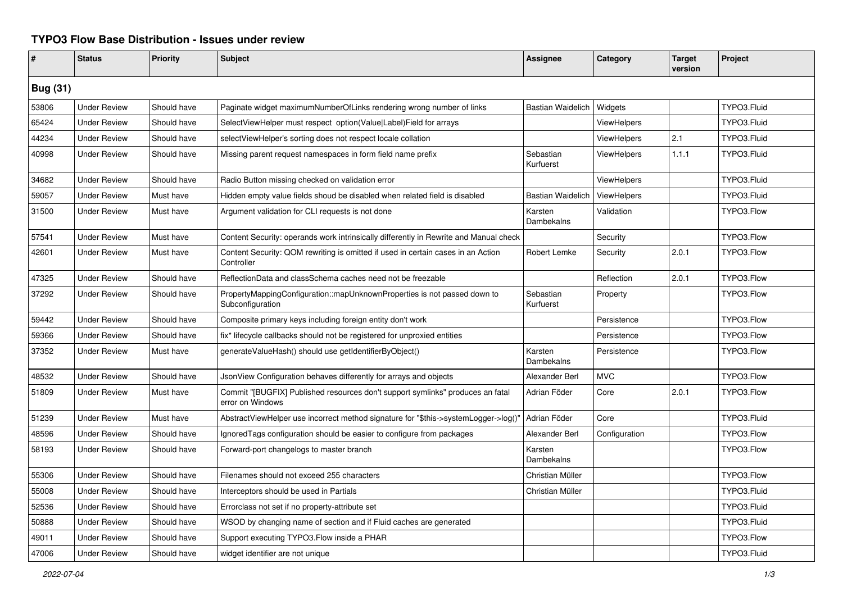## **TYPO3 Flow Base Distribution - Issues under review**

| #               | <b>Status</b>       | <b>Priority</b> | <b>Subject</b>                                                                                     | <b>Assignee</b>          | Category           | <b>Target</b><br>version | <b>Project</b> |  |
|-----------------|---------------------|-----------------|----------------------------------------------------------------------------------------------------|--------------------------|--------------------|--------------------------|----------------|--|
| <b>Bug (31)</b> |                     |                 |                                                                                                    |                          |                    |                          |                |  |
| 53806           | <b>Under Review</b> | Should have     | Paginate widget maximumNumberOfLinks rendering wrong number of links                               | <b>Bastian Waidelich</b> | Widgets            |                          | TYPO3.Fluid    |  |
| 65424           | <b>Under Review</b> | Should have     | SelectViewHelper must respect option(Value Label)Field for arrays                                  |                          | ViewHelpers        |                          | TYPO3.Fluid    |  |
| 44234           | <b>Under Review</b> | Should have     | selectViewHelper's sorting does not respect locale collation                                       |                          | <b>ViewHelpers</b> | 2.1                      | TYPO3.Fluid    |  |
| 40998           | <b>Under Review</b> | Should have     | Missing parent request namespaces in form field name prefix                                        | Sebastian<br>Kurfuerst   | <b>ViewHelpers</b> | 1.1.1                    | TYPO3.Fluid    |  |
| 34682           | <b>Under Review</b> | Should have     | Radio Button missing checked on validation error                                                   |                          | <b>ViewHelpers</b> |                          | TYPO3.Fluid    |  |
| 59057           | <b>Under Review</b> | Must have       | Hidden empty value fields shoud be disabled when related field is disabled                         | <b>Bastian Waidelich</b> | <b>ViewHelpers</b> |                          | TYPO3.Fluid    |  |
| 31500           | <b>Under Review</b> | Must have       | Argument validation for CLI requests is not done                                                   | Karsten<br>Dambekalns    | Validation         |                          | TYPO3.Flow     |  |
| 57541           | <b>Under Review</b> | Must have       | Content Security: operands work intrinsically differently in Rewrite and Manual check              |                          | Security           |                          | TYPO3.Flow     |  |
| 42601           | <b>Under Review</b> | Must have       | Content Security: QOM rewriting is omitted if used in certain cases in an Action<br>Controller     | Robert Lemke             | Security           | 2.0.1                    | TYPO3.Flow     |  |
| 47325           | <b>Under Review</b> | Should have     | ReflectionData and classSchema caches need not be freezable                                        |                          | Reflection         | 2.0.1                    | TYPO3.Flow     |  |
| 37292           | <b>Under Review</b> | Should have     | PropertyMappingConfiguration::mapUnknownProperties is not passed down to<br>Subconfiguration       | Sebastian<br>Kurfuerst   | Property           |                          | TYPO3.Flow     |  |
| 59442           | <b>Under Review</b> | Should have     | Composite primary keys including foreign entity don't work                                         |                          | Persistence        |                          | TYPO3.Flow     |  |
| 59366           | <b>Under Review</b> | Should have     | fix* lifecycle callbacks should not be registered for unproxied entities                           |                          | Persistence        |                          | TYPO3.Flow     |  |
| 37352           | <b>Under Review</b> | Must have       | generateValueHash() should use getIdentifierByObject()                                             | Karsten<br>Dambekalns    | Persistence        |                          | TYPO3.Flow     |  |
| 48532           | <b>Under Review</b> | Should have     | JsonView Configuration behaves differently for arrays and objects                                  | Alexander Berl           | <b>MVC</b>         |                          | TYPO3.Flow     |  |
| 51809           | <b>Under Review</b> | Must have       | Commit "[BUGFIX] Published resources don't support symlinks" produces an fatal<br>error on Windows | Adrian Föder             | Core               | 2.0.1                    | TYPO3.Flow     |  |
| 51239           | <b>Under Review</b> | Must have       | AbstractViewHelper use incorrect method signature for "\$this->systemLogger->log()"                | Adrian Föder             | Core               |                          | TYPO3.Fluid    |  |
| 48596           | <b>Under Review</b> | Should have     | Ignored Tags configuration should be easier to configure from packages                             | Alexander Berl           | Configuration      |                          | TYPO3.Flow     |  |
| 58193           | <b>Under Review</b> | Should have     | Forward-port changelogs to master branch                                                           | Karsten<br>Dambekalns    |                    |                          | TYPO3.Flow     |  |
| 55306           | <b>Under Review</b> | Should have     | Filenames should not exceed 255 characters                                                         | Christian Müller         |                    |                          | TYPO3.Flow     |  |
| 55008           | <b>Under Review</b> | Should have     | Interceptors should be used in Partials                                                            | Christian Müller         |                    |                          | TYPO3.Fluid    |  |
| 52536           | <b>Under Review</b> | Should have     | Errorclass not set if no property-attribute set                                                    |                          |                    |                          | TYPO3.Fluid    |  |
| 50888           | <b>Under Review</b> | Should have     | WSOD by changing name of section and if Fluid caches are generated                                 |                          |                    |                          | TYPO3.Fluid    |  |
| 49011           | <b>Under Review</b> | Should have     | Support executing TYPO3. Flow inside a PHAR                                                        |                          |                    |                          | TYPO3.Flow     |  |
| 47006           | <b>Under Review</b> | Should have     | widget identifier are not unique                                                                   |                          |                    |                          | TYPO3.Fluid    |  |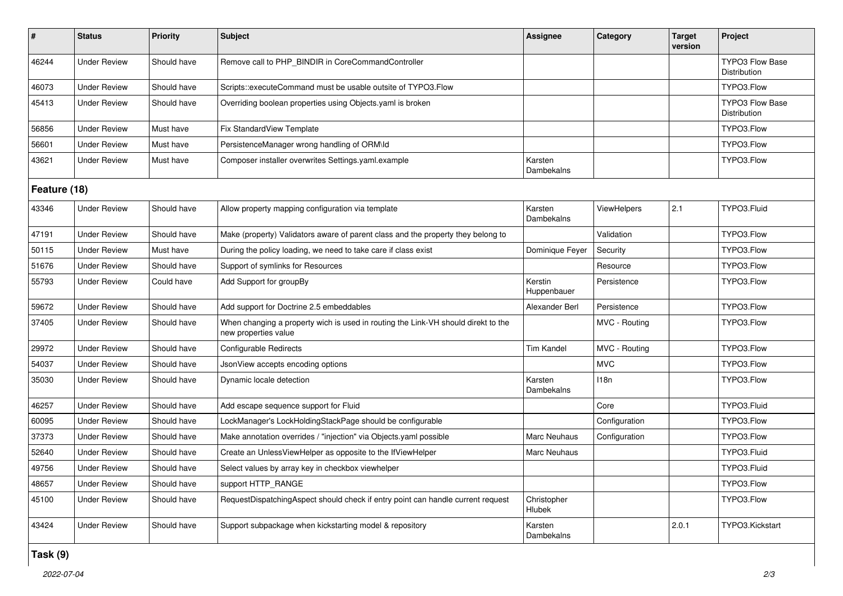| $\pmb{\#}$   | <b>Status</b>       | Priority    | <b>Subject</b>                                                                                            | Assignee                     | Category      | <b>Target</b><br>version | Project                                |  |
|--------------|---------------------|-------------|-----------------------------------------------------------------------------------------------------------|------------------------------|---------------|--------------------------|----------------------------------------|--|
| 46244        | <b>Under Review</b> | Should have | Remove call to PHP_BINDIR in CoreCommandController                                                        |                              |               |                          | <b>TYPO3 Flow Base</b><br>Distribution |  |
| 46073        | <b>Under Review</b> | Should have | Scripts::executeCommand must be usable outsite of TYPO3.Flow                                              |                              |               |                          | TYPO3.Flow                             |  |
| 45413        | <b>Under Review</b> | Should have | Overriding boolean properties using Objects yaml is broken                                                |                              |               |                          | <b>TYPO3 Flow Base</b><br>Distribution |  |
| 56856        | <b>Under Review</b> | Must have   | Fix StandardView Template                                                                                 |                              |               |                          | TYPO3.Flow                             |  |
| 56601        | <b>Under Review</b> | Must have   | PersistenceManager wrong handling of ORM\ld                                                               |                              |               |                          | TYPO3.Flow                             |  |
| 43621        | <b>Under Review</b> | Must have   | Composer installer overwrites Settings.yaml.example                                                       | Karsten<br>Dambekalns        |               |                          | TYPO3.Flow                             |  |
| Feature (18) |                     |             |                                                                                                           |                              |               |                          |                                        |  |
| 43346        | <b>Under Review</b> | Should have | Allow property mapping configuration via template                                                         | Karsten<br>Dambekalns        | ViewHelpers   | 2.1                      | TYPO3.Fluid                            |  |
| 47191        | <b>Under Review</b> | Should have | Make (property) Validators aware of parent class and the property they belong to                          |                              | Validation    |                          | TYPO3.Flow                             |  |
| 50115        | <b>Under Review</b> | Must have   | During the policy loading, we need to take care if class exist                                            | Dominique Feyer              | Security      |                          | TYPO3.Flow                             |  |
| 51676        | <b>Under Review</b> | Should have | Support of symlinks for Resources                                                                         |                              | Resource      |                          | TYPO3.Flow                             |  |
| 55793        | <b>Under Review</b> | Could have  | Add Support for groupBy                                                                                   | Kerstin<br>Huppenbauer       | Persistence   |                          | TYPO3.Flow                             |  |
| 59672        | <b>Under Review</b> | Should have | Add support for Doctrine 2.5 embeddables                                                                  | Alexander Berl               | Persistence   |                          | TYPO3.Flow                             |  |
| 37405        | <b>Under Review</b> | Should have | When changing a property wich is used in routing the Link-VH should direkt to the<br>new properties value |                              | MVC - Routing |                          | TYPO3.Flow                             |  |
| 29972        | <b>Under Review</b> | Should have | Configurable Redirects                                                                                    | <b>Tim Kandel</b>            | MVC - Routing |                          | TYPO3.Flow                             |  |
| 54037        | <b>Under Review</b> | Should have | JsonView accepts encoding options                                                                         |                              | <b>MVC</b>    |                          | TYPO3.Flow                             |  |
| 35030        | <b>Under Review</b> | Should have | Dynamic locale detection                                                                                  | Karsten<br>Dambekalns        | 118n          |                          | TYPO3.Flow                             |  |
| 46257        | <b>Under Review</b> | Should have | Add escape sequence support for Fluid                                                                     |                              | Core          |                          | TYPO3.Fluid                            |  |
| 60095        | <b>Under Review</b> | Should have | LockManager's LockHoldingStackPage should be configurable                                                 |                              | Configuration |                          | TYPO3.Flow                             |  |
| 37373        | <b>Under Review</b> | Should have | Make annotation overrides / "injection" via Objects.yaml possible                                         | Marc Neuhaus                 | Configuration |                          | TYPO3.Flow                             |  |
| 52640        | <b>Under Review</b> | Should have | Create an UnlessViewHelper as opposite to the IfViewHelper                                                | <b>Marc Neuhaus</b>          |               |                          | TYPO3.Fluid                            |  |
| 49756        | <b>Under Review</b> | Should have | Select values by array key in checkbox viewhelper                                                         |                              |               |                          | TYPO3.Fluid                            |  |
| 48657        | <b>Under Review</b> | Should have | support HTTP RANGE                                                                                        |                              |               |                          | TYPO3.Flow                             |  |
| 45100        | <b>Under Review</b> | Should have | RequestDispatchingAspect should check if entry point can handle current request                           | Christopher<br><b>Hlubek</b> |               |                          | TYPO3.Flow                             |  |
| 43424        | <b>Under Review</b> | Should have | Support subpackage when kickstarting model & repository                                                   | Karsten<br>Dambekalns        |               | 2.0.1                    | TYPO3.Kickstart                        |  |